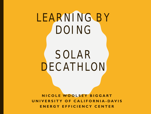# LEARNING BY DOING

### SOLAR DECATHLON

**NICOLE WOOLSEY BIGGART UNIVERSITY OF CALIFORNIA - DAVIS ENERGY EFFICIENCY CENTER**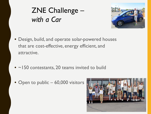#### ZNE Challenge – *with a Car*



- Design, build, and operate solar-powered houses that are cost-effective, energy efficient, and attractive.
- ~150 contestants, 20 teams invited to build
- Open to public 60,000 visitors

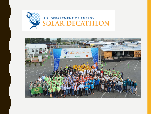

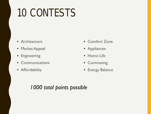## 10 CONTESTS

- Architecture
- Market Appeal
- Engineering
- Communications
- Affordability
- Comfort Zone
- Appliances
- Home Life
- Commuting
- Energy Balance

#### *1000 total points possible*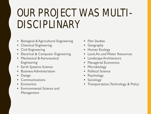## OUR PROJECT WAS MULTI-DISCIPLINARY

- Biological & Agricultural Engineering
- Chemical Engineering
- **Civil Engineering**
- Electrical & Computer Engineering
- Mechanical & Aeronautical Engineering
- Earth Systems Science
- Business Administration
- Design
- **Communications**
- Economics
- Environmental Science and Management
- Film Studies
- Geography
- Human Ecology
- Land, Air, and Water Resources
- Landscape Architecture
- **Managerial Economics**
- Microbiology
- Political Science
- Psychology
- Sociology
- Transportation, Technology & Policy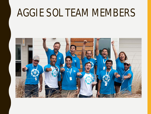#### AGGIE SOL TEAM MEMBERS

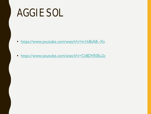#### **AGGIE SOL**

- https://www.youtube.com/watch?v=mlkBtA8--Xs
- · https://www.youtube.com/watch?v=Ct8DVE0Eu2c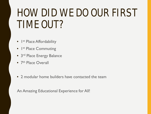#### HOW DID WE DO OUR FIRST TIME OUT?

- I<sup>st</sup> Place Affordability
- I<sup>st</sup> Place Commuting
- 3<sup>rd</sup> Place Energy Balance
- 7<sup>th</sup> Place Overall
- 2 modular home builders have contacted the team

An Amazing Educational Experience for All!